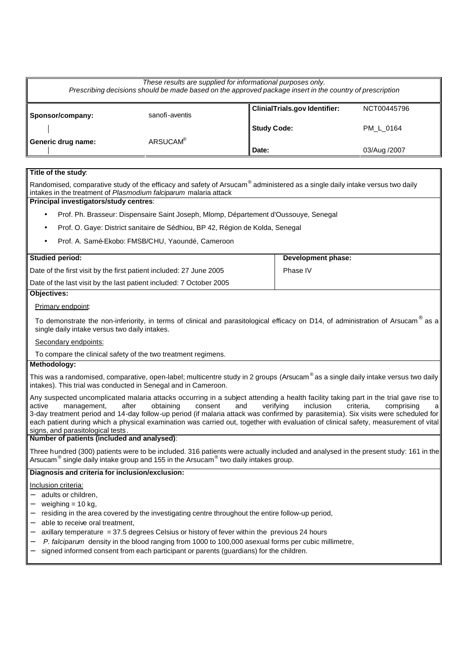| These results are supplied for informational purposes only.<br>Prescribing decisions should be made based on the approved package insert in the country of prescription |                      |                                      |              |
|-------------------------------------------------------------------------------------------------------------------------------------------------------------------------|----------------------|--------------------------------------|--------------|
| Sponsor/company:                                                                                                                                                        | sanofi-aventis       | <b>ClinialTrials.gov Identifier:</b> | NCT00445796  |
|                                                                                                                                                                         |                      | <b>Study Code:</b>                   | PM L 0164    |
| Generic drug name:                                                                                                                                                      | ARSUCAM <sup>®</sup> | Date:                                | 03/Aug /2007 |

### **Title of the study**:

Randomised, comparative study of the efficacy and safety of Arsucam $^\circ$  administered as a single daily intake versus two daily intakes in the treatment of *Plasmodium falciparum* malaria attack

# **Principal investigators/study centres**:

- Prof. Ph. Brasseur: Dispensaire Saint Joseph, Mlomp, Département d'Oussouye, Senegal
- Prof. O. Gaye: District sanitaire de Sédhiou, BP 42, Région de Kolda, Senegal
- Prof. A. Samé-Ekobo: FMSB/CHU, Yaoundé, Cameroon

| <b>Studied period:</b>                                              | Development phase: |
|---------------------------------------------------------------------|--------------------|
| Date of the first visit by the first patient included: 27 June 2005 | Phase IV           |
| Date of the last visit by the last patient included: 7 October 2005 |                    |

## **Objectives:**

### Primary endpoint:

To demonstrate the non-inferiority, in terms of clinical and parasitological efficacy on D14, of administration of Arsucam $^{\circledR}$  as a single daily intake versus two daily intakes.

Secondary endpoints:

To compare the clinical safety of the two treatment regimens.

## **Methodology:**

This was a randomised, comparative, open-label; multicentre study in 2 groups (Arsucam<sup>®</sup> as a single daily intake versus two daily intakes). This trial was conducted in Senegal and in Cameroon.

Any suspected uncomplicated malaria attacks occurring in a subject attending a health facility taking part in the trial gave rise to active management, after obtaining consent and verifying inclusion criteria, comprising a active management, after obtaining consent and verifying inclusion criteria, comprising a 3-day treatment period and 14-day follow-up period (if malaria attack was confirmed by parasitemia). Six visits were scheduled for each patient during which a physical examination was carried out, together with evaluation of clinical safety, measurement of vital signs, and parasitological tests.

### **Number of patients (included and analysed)**:

Three hundred (300) patients were to be included. 316 patients were actually included and analysed in the present study: 161 in the Arsucam $^\circ$  single daily intake group and 155 in the Arsucam $^\circ$  two daily intakes group.

### **Diagnosis and criteria for inclusion/exclusion:**

### Inclusion criteria:

- adults or children,
- weighing = 10 kg,
- residing in the area covered by the investigating centre throughout the entire follow-up period,
- able to receive oral treatment,
- − axillary temperature = 37.5 degrees Celsius or history of fever within the previous 24 hours
- *P. falciparum* density in the blood ranging from 1000 to 100,000 asexual forms per cubic millimetre,
- signed informed consent from each participant or parents (guardians) for the children.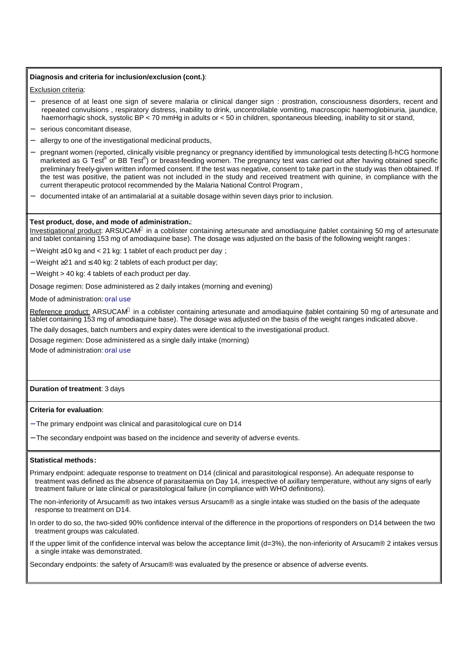#### **Diagnosis and criteria for inclusion/exclusion (cont.)**:

Exclusion criteria:

- − presence of at least one sign of severe malaria or clinical danger sign : prostration, consciousness disorders, recent and repeated convulsions , respiratory distress, inability to drink, uncontrollable vomiting, macroscopic haemoglobinuria, jaundice, haemorrhagic shock, systolic BP < 70 mmHg in adults or < 50 in children, spontaneous bleeding, inability to sit or stand,
- serious concomitant disease,
- allergy to one of the investigational medicinal products,
- pregnant women (reported, clinically visible pregnancy or pregnancy identified by immunological tests detecting ß-hCG hormone marketed as G Test® or BB Test®) or breast-feeding women. The pregnancy test was carried out after having obtained specific preliminary freely-given written informed consent. If the test was negative, consent to take part in the study was then obtained. If the test was positive, the patient was not included in the study and received treatment with quinine, in compliance with the current therapeutic protocol recommended by the Malaria National Control Program ,
- − documented intake of an antimalarial at a suitable dosage within seven days prior to inclusion.

#### **Test product, dose, and mode of administration.**:

Investigational product: ARSUCAM® in a coblister containing artesunate and amodiaquine (tablet containing 50 mg of artesunate and tablet containing 153 mg of amodiaquine base). The dosage was adjusted on the basis of the following weight ranges :

− Weight ≥10 kg and < 21 kg: 1 tablet of each product per day ;

- − Weight ≥21 and ≤ 40 kg: 2 tablets of each product per day;
- − Weight > 40 kg: 4 tablets of each product per day.
- Dosage regimen: Dose administered as 2 daily intakes (morning and evening)

Mode of administration: oral use

Reference product: ARSUCAM® in a coblister containing artesunate and amodiaquine (tablet containing 50 mg of artesunate and tablet containing 153 mg of amodiaquine base). The dosage was adjusted on the basis of the weight ranges indicated above.

The daily dosages, batch numbers and expiry dates were identical to the investigational product.

Dosage regimen: Dose administered as a single daily intake (morning)

Mode of administration: oral use

#### **Duration of treatment**: 3 days

#### **Criteria for evaluation**:

- − The primary endpoint was clinical and parasitological cure on D14
- − The secondary endpoint was based on the incidence and severity of adverse events.

#### **Statistical methods:**

- Primary endpoint: adequate response to treatment on D14 (clinical and parasitological response). An adequate response to treatment was defined as the absence of parasitaemia on Day 14, irrespective of axillary temperature, without any signs of early treatment failure or late clinical or parasitological failure (in compliance with WHO definitions).
- The non-inferiority of Arsucam® as two intakes versus Arsucam® as a single intake was studied on the basis of the adequate response to treatment on D14.
- In order to do so, the two-sided 90% confidence interval of the difference in the proportions of responders on D14 between the two treatment groups was calculated.
- If the upper limit of the confidence interval was below the acceptance limit (d=3%), the non-inferiority of Arsucam® 2 intakes versus a single intake was demonstrated.

Secondary endpoints: the safety of Arsucam® was evaluated by the presence or absence of adverse events.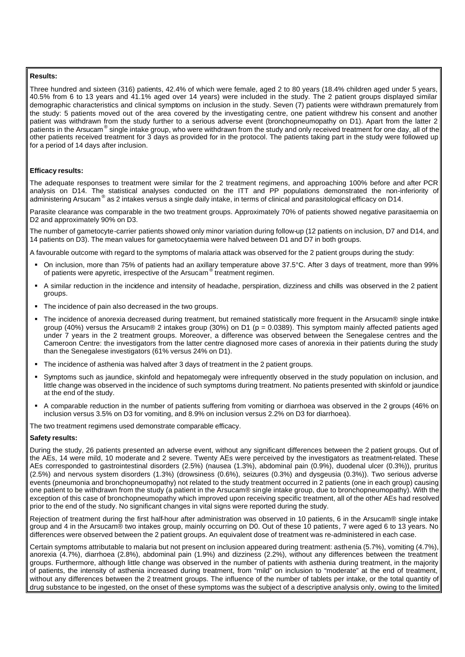#### **Results:**

Three hundred and sixteen (316) patients, 42.4% of which were female, aged 2 to 80 years (18.4% children aged under 5 years, 40.5% from 6 to 13 years and 41.1% aged over 14 years) were included in the study. The 2 patient groups displayed similar demographic characteristics and clinical symptoms on inclusion in the study. Seven (7) patients were withdrawn prematurely from the study: 5 patients moved out of the area covered by the investigating centre, one patient withdrew his consent and another patient was withdrawn from the study further to a serious adverse event (bronchopneumopathy on D1). Apart from the latter 2 patients in the Arsucam®single intake group, who were withdrawn from the study and only received treatment for one day, all of the other patients received treatment for 3 days as provided for in the protocol. The patients taking part in the study were followed up for a period of 14 days after inclusion.

### **Efficacy results:**

The adequate responses to treatment were similar for the 2 treatment regimens, and approaching 100% before and after PCR analysis on D14. The statistical analyses conducted on the ITT and PP populations demonstrated the non-inferiority of administering Arsucam<sup>®</sup> as 2 intakes versus a single daily intake, in terms of clinical and parasitological efficacy on D14.

Parasite clearance was comparable in the two treatment groups. Approximately 70% of patients showed negative parasitaemia on D2 and approximately 90% on D3.

The number of gametocyte-carrier patients showed only minor variation during follow-up (12 patients on inclusion, D7 and D14, and 14 patients on D3). The mean values for gametocytaemia were halved between D1 and D7 in both groups.

A favourable outcome with regard to the symptoms of malaria attack was observed for the 2 patient groups during the study:

- ß On inclusion, more than 75% of patients had an axillary temperature above 37.5°C. After 3 days of treatment, more than 99% of patients were apyretic, irrespective of the Arsucam® treatment regimen.
- ß A similar reduction in the incidence and intensity of headache, perspiration, dizziness and chills was observed in the 2 patient groups.
- The incidence of pain also decreased in the two groups.
- ß The incidence of anorexia decreased during treatment, but remained statistically more frequent in the Arsucam® single intake group (40%) versus the Arsucam® 2 intakes group (30%) on D1 ( $p = 0.0389$ ). This symptom mainly affected patients aged under 7 years in the 2 treatment groups. Moreover, a difference was observed between the Senegalese centres and the Cameroon Centre: the investigators from the latter centre diagnosed more cases of anorexia in their patients during the study than the Senegalese investigators (61% versus 24% on D1).
- ß The incidence of asthenia was halved after 3 days of treatment in the 2 patient groups.
- ß Symptoms such as jaundice, skinfold and hepatomegaly were infrequently observed in the study population on inclusion, and little change was observed in the incidence of such symptoms during treatment. No patients presented with skinfold or jaundice at the end of the study.
- ß A comparable reduction in the number of patients suffering from vomiting or diarrhoea was observed in the 2 groups (46% on inclusion versus 3.5% on D3 for vomiting, and 8.9% on inclusion versus 2.2% on D3 for diarrhoea).

The two treatment regimens used demonstrate comparable efficacy.

#### **Safety results:**

During the study, 26 patients presented an adverse event, without any significant differences between the 2 patient groups. Out of the AEs, 14 were mild, 10 moderate and 2 severe. Twenty AEs were perceived by the investigators as treatment-related. These AEs corresponded to gastrointestinal disorders (2.5%) (nausea (1.3%), abdominal pain (0.9%), duodenal ulcer (0.3%)), pruritus (2.5%) and nervous system disorders (1.3%) (drowsiness (0.6%), seizures (0.3%) and dysgeusia (0.3%)). Two serious adverse events (pneumonia and bronchopneumopathy) not related to the study treatment occurred in 2 patients (one in each group) causing one patient to be withdrawn from the study (a patient in the Arsucam® single intake group, due to bronchopneumopathy). With the exception of this case of bronchopneumopathy which improved upon receiving specific treatment, all of the other AEs had resolved prior to the end of the study. No significant changes in vital signs were reported during the study.

Rejection of treatment during the first half-hour after administration was observed in 10 patients, 6 in the Arsucam® single intake group and 4 in the Arsucam® two intakes group, mainly occurring on D0. Out of these 10 patients, 7 were aged 6 to 13 years. No differences were observed between the 2 patient groups. An equivalent dose of treatment was re-administered in each case.

Certain symptoms attributable to malaria but not present on inclusion appeared during treatment: asthenia (5.7%), vomiting (4.7%), anorexia (4.7%), diarrhoea (2.8%), abdominal pain (1.9%) and dizziness (2.2%), without any differences between the treatment groups. Furthermore, although little change was observed in the number of patients with asthenia during treatment, in the majority of patients, the intensity of asthenia increased during treatment, from "mild" on inclusion to "moderate" at the end of treatment, without any differences between the 2 treatment groups. The influence of the number of tablets per intake, or the total quantity of drug substance to be ingested, on the onset of these symptoms was the subject of a descriptive analysis only, owing to the limited